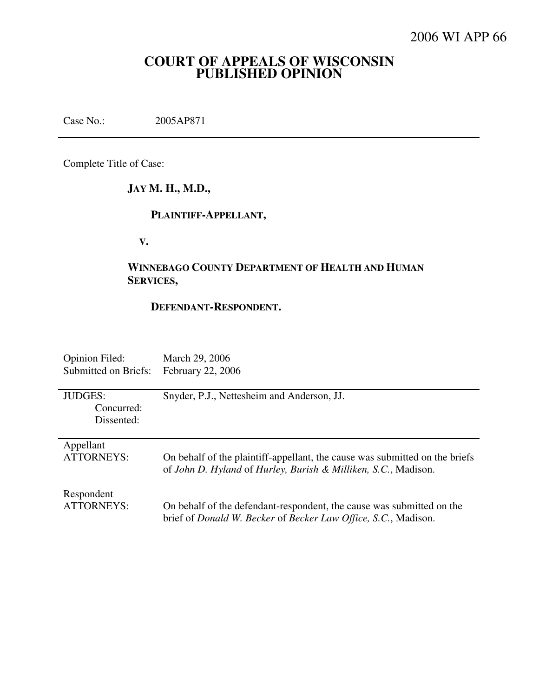# **COURT OF APPEALS OF WISCONSIN PUBLISHED OPINION**

Case No.: 2005AP871

Complete Title of Case:

# **JAY M. H., M.D.,**

# **PLAINTIFF-APPELLANT,**

 **V.** 

# **WINNEBAGO COUNTY DEPARTMENT OF HEALTH AND HUMAN SERVICES,**

#### **DEFENDANT-RESPONDENT.**

| <b>Opinion Filed:</b> | March 29, 2006                                                                        |
|-----------------------|---------------------------------------------------------------------------------------|
| Submitted on Briefs:  | February 22, 2006                                                                     |
|                       |                                                                                       |
| <b>JUDGES:</b>        | Snyder, P.J., Nettesheim and Anderson, JJ.                                            |
| Concurred:            |                                                                                       |
| Dissented:            |                                                                                       |
|                       |                                                                                       |
| Appellant             |                                                                                       |
| <b>ATTORNEYS:</b>     | On behalf of the plaintiff-appellant, the cause was submitted on the briefs           |
|                       | of John D. Hyland of Hurley, Burish & Milliken, S.C., Madison.                        |
|                       |                                                                                       |
| Respondent            |                                                                                       |
| <b>ATTORNEYS:</b>     | On behalf of the defendant-respondent, the cause was submitted on the                 |
|                       | brief of <i>Donald W. Becker</i> of <i>Becker Law Office</i> , <i>S.C.</i> , Madison. |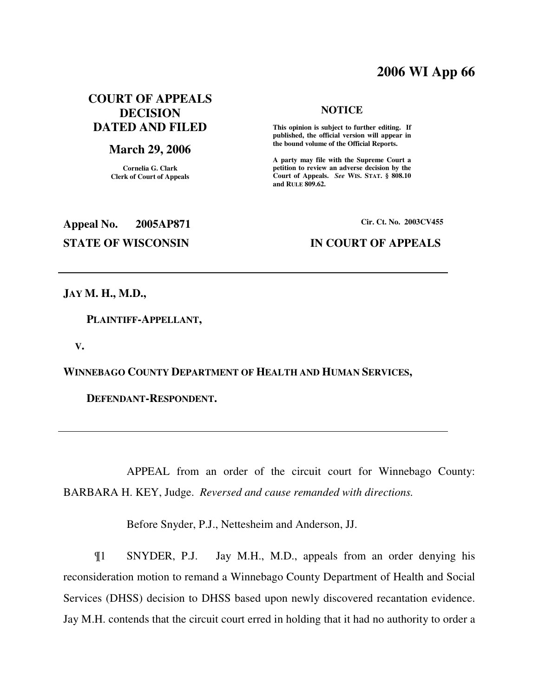# **2006 WI App 66**

## **COURT OF APPEALS DECISION DATED AND FILED**

### **March 29, 2006**

**Cornelia G. Clark Clerk of Court of Appeals**

#### **NOTICE**

 **This opinion is subject to further editing. If published, the official version will appear in the bound volume of the Official Reports.** 

**A party may file with the Supreme Court a petition to review an adverse decision by the Court of Appeals.** *See* **WIS. STAT. § 808.10 and RULE 809.62.** 

**Appeal No. 2005AP871 Cir. Ct. No. 2003CV455 STATE OF WISCONSIN IN COURT OF APPEALS** 

**JAY M. H., M.D.,** 

 **PLAINTIFF-APPELLANT,** 

 **V.** 

**WINNEBAGO COUNTY DEPARTMENT OF HEALTH AND HUMAN SERVICES,** 

 **DEFENDANT-RESPONDENT.** 

 APPEAL from an order of the circuit court for Winnebago County: BARBARA H. KEY, Judge. *Reversed and cause remanded with directions.*

Before Snyder, P.J., Nettesheim and Anderson, JJ.

¶1 SNYDER, P.J. Jay M.H., M.D., appeals from an order denying his reconsideration motion to remand a Winnebago County Department of Health and Social Services (DHSS) decision to DHSS based upon newly discovered recantation evidence. Jay M.H. contends that the circuit court erred in holding that it had no authority to order a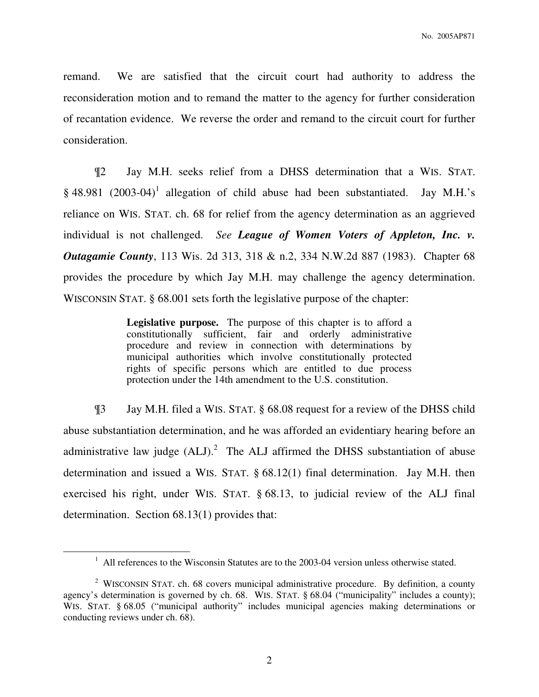remand. We are satisfied that the circuit court had authority to address the reconsideration motion and to remand the matter to the agency for further consideration of recantation evidence. We reverse the order and remand to the circuit court for further consideration.

¶2 Jay M.H. seeks relief from a DHSS determination that a WIS. STAT.  $§$  48.981 (2003-04)<sup>1</sup> allegation of child abuse had been substantiated. Jay M.H.'s reliance on WIS. STAT. ch. 68 for relief from the agency determination as an aggrieved individual is not challenged. *See League of Women Voters of Appleton, Inc. v. Outagamie County*, 113 Wis. 2d 313, 318 & n.2, 334 N.W.2d 887 (1983). Chapter 68 provides the procedure by which Jay M.H. may challenge the agency determination. WISCONSIN STAT. § 68.001 sets forth the legislative purpose of the chapter:

> **Legislative purpose.** The purpose of this chapter is to afford a constitutionally sufficient, fair and orderly administrative procedure and review in connection with determinations by municipal authorities which involve constitutionally protected rights of specific persons which are entitled to due process protection under the 14th amendment to the U.S. constitution.

¶3 Jay M.H. filed a WIS. STAT. § 68.08 request for a review of the DHSS child abuse substantiation determination, and he was afforded an evidentiary hearing before an administrative law judge  $(ALJ)^2$  The ALJ affirmed the DHSS substantiation of abuse determination and issued a WIS. STAT. § 68.12(1) final determination. Jay M.H. then exercised his right, under WIS. STAT. § 68.13, to judicial review of the ALJ final determination. Section 68.13(1) provides that:

 $\overline{a}$ 

 $<sup>1</sup>$  All references to the Wisconsin Statutes are to the 2003-04 version unless otherwise stated.</sup>

<sup>&</sup>lt;sup>2</sup> WISCONSIN STAT. ch. 68 covers municipal administrative procedure. By definition, a county agency's determination is governed by ch. 68. WIS. STAT. § 68.04 ("municipality" includes a county); WIS. STAT. § 68.05 ("municipal authority" includes municipal agencies making determinations or conducting reviews under ch. 68).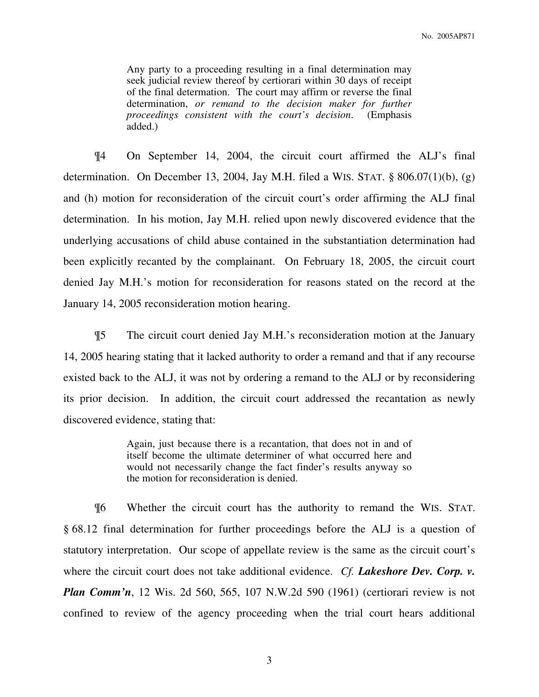Any party to a proceeding resulting in a final determination may seek judicial review thereof by certiorari within 30 days of receipt of the final determation. The court may affirm or reverse the final determination, *or remand to the decision maker for further proceedings consistent with the court's decision*. (Emphasis added.)

¶4 On September 14, 2004, the circuit court affirmed the ALJ's final determination. On December 13, 2004, Jay M.H. filed a WIS. STAT. § 806.07(1)(b), (g) and (h) motion for reconsideration of the circuit court's order affirming the ALJ final determination. In his motion, Jay M.H. relied upon newly discovered evidence that the underlying accusations of child abuse contained in the substantiation determination had been explicitly recanted by the complainant.On February 18, 2005, the circuit court denied Jay M.H.'s motion for reconsideration for reasons stated on the record at the January 14, 2005 reconsideration motion hearing.

¶5 The circuit court denied Jay M.H.'s reconsideration motion at the January 14, 2005 hearing stating that it lacked authority to order a remand and that if any recourse existed back to the ALJ, it was not by ordering a remand to the ALJ or by reconsidering its prior decision. In addition, the circuit court addressed the recantation as newly discovered evidence, stating that:

> Again, just because there is a recantation, that does not in and of itself become the ultimate determiner of what occurred here and would not necessarily change the fact finder's results anyway so the motion for reconsideration is denied.

¶6 Whether the circuit court has the authority to remand the WIS. STAT. § 68.12 final determination for further proceedings before the ALJ is a question of statutory interpretation. Our scope of appellate review is the same as the circuit court's where the circuit court does not take additional evidence. *Cf. Lakeshore Dev. Corp. v. Plan Comm'n*, 12 Wis. 2d 560, 565, 107 N.W.2d 590 (1961) (certiorari review is not confined to review of the agency proceeding when the trial court hears additional

3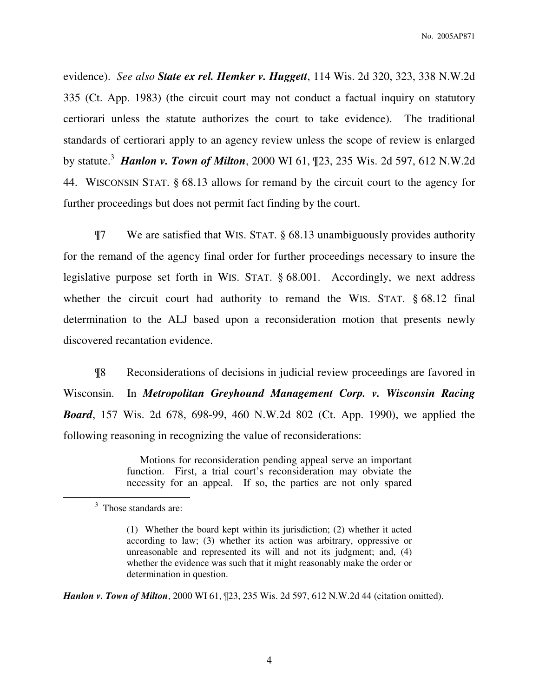No. 2005AP871

evidence). *See also State ex rel. Hemker v. Huggett*, 114 Wis. 2d 320, 323, 338 N.W.2d 335 (Ct. App. 1983) (the circuit court may not conduct a factual inquiry on statutory certiorari unless the statute authorizes the court to take evidence). The traditional standards of certiorari apply to an agency review unless the scope of review is enlarged by statute.<sup>3</sup> *Hanlon v. Town of Milton*, 2000 WI 61, ¶23, 235 Wis. 2d 597, 612 N.W.2d 44. WISCONSIN STAT. § 68.13 allows for remand by the circuit court to the agency for further proceedings but does not permit fact finding by the court.

¶7 We are satisfied that WIS. STAT. § 68.13 unambiguously provides authority for the remand of the agency final order for further proceedings necessary to insure the legislative purpose set forth in WIS. STAT. § 68.001. Accordingly, we next address whether the circuit court had authority to remand the WIS. STAT. § 68.12 final determination to the ALJ based upon a reconsideration motion that presents newly discovered recantation evidence.

¶8 Reconsiderations of decisions in judicial review proceedings are favored in Wisconsin. In *Metropolitan Greyhound Management Corp. v. Wisconsin Racing Board*, 157 Wis. 2d 678, 698-99, 460 N.W.2d 802 (Ct. App. 1990), we applied the following reasoning in recognizing the value of reconsiderations:

> Motions for reconsideration pending appeal serve an important function. First, a trial court's reconsideration may obviate the necessity for an appeal. If so, the parties are not only spared

 $\overline{a}$ 

*Hanlon v. Town of Milton*, 2000 WI 61, ¶23, 235 Wis. 2d 597, 612 N.W.2d 44 (citation omitted).

<sup>&</sup>lt;sup>3</sup> Those standards are:

<sup>(1)</sup> Whether the board kept within its jurisdiction; (2) whether it acted according to law; (3) whether its action was arbitrary, oppressive or unreasonable and represented its will and not its judgment; and, (4) whether the evidence was such that it might reasonably make the order or determination in question.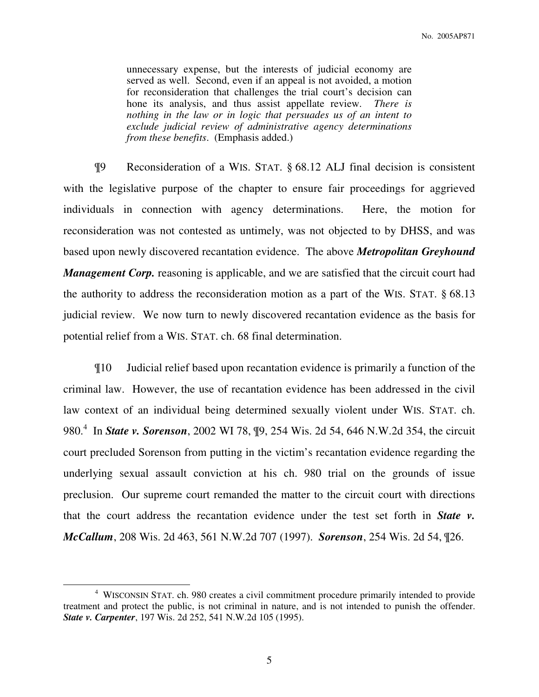unnecessary expense, but the interests of judicial economy are served as well. Second, even if an appeal is not avoided, a motion for reconsideration that challenges the trial court's decision can hone its analysis, and thus assist appellate review. *There is nothing in the law or in logic that persuades us of an intent to exclude judicial review of administrative agency determinations from these benefits*. (Emphasis added.)

¶9 Reconsideration of a WIS. STAT. § 68.12 ALJ final decision is consistent with the legislative purpose of the chapter to ensure fair proceedings for aggrieved individuals in connection with agency determinations. Here, the motion for reconsideration was not contested as untimely, was not objected to by DHSS, and was based upon newly discovered recantation evidence. The above *Metropolitan Greyhound Management Corp.* reasoning is applicable, and we are satisfied that the circuit court had the authority to address the reconsideration motion as a part of the WIS. STAT. § 68.13 judicial review. We now turn to newly discovered recantation evidence as the basis for potential relief from a WIS. STAT. ch. 68 final determination.

¶10 Judicial relief based upon recantation evidence is primarily a function of the criminal law. However, the use of recantation evidence has been addressed in the civil law context of an individual being determined sexually violent under WIS. STAT. ch. 980.<sup>4</sup> In *State v. Sorenson*, 2002 WI 78,  $\mathbb{I}9$ , 254 Wis. 2d 54, 646 N.W.2d 354, the circuit court precluded Sorenson from putting in the victim's recantation evidence regarding the underlying sexual assault conviction at his ch. 980 trial on the grounds of issue preclusion. Our supreme court remanded the matter to the circuit court with directions that the court address the recantation evidence under the test set forth in *State v. McCallum*, 208 Wis. 2d 463, 561 N.W.2d 707 (1997). *Sorenson*, 254 Wis. 2d 54, ¶26.

 $\overline{a}$ 

<sup>&</sup>lt;sup>4</sup> WISCONSIN STAT. ch. 980 creates a civil commitment procedure primarily intended to provide treatment and protect the public, is not criminal in nature, and is not intended to punish the offender. *State v. Carpenter*, 197 Wis. 2d 252, 541 N.W.2d 105 (1995).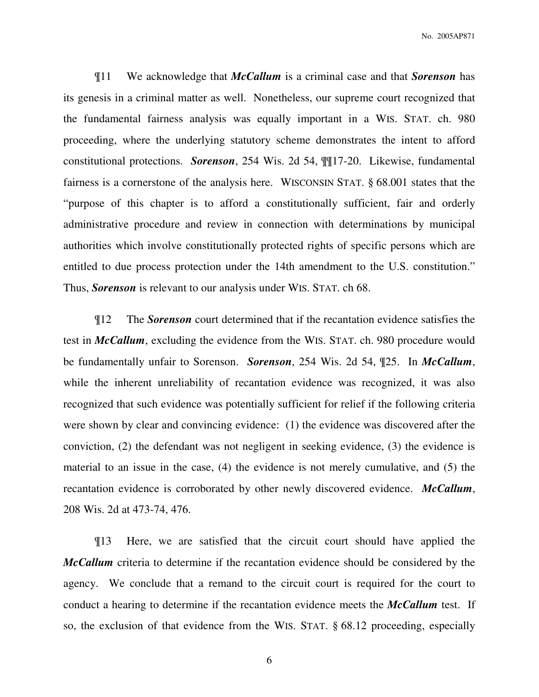No. 2005AP871

¶11 We acknowledge that *McCallum* is a criminal case and that *Sorenson* has its genesis in a criminal matter as well. Nonetheless, our supreme court recognized that the fundamental fairness analysis was equally important in a WIS. STAT. ch. 980 proceeding, where the underlying statutory scheme demonstrates the intent to afford constitutional protections. *Sorenson*, 254 Wis. 2d 54, ¶¶17-20.Likewise, fundamental fairness is a cornerstone of the analysis here. WISCONSIN STAT. § 68.001 states that the "purpose of this chapter is to afford a constitutionally sufficient, fair and orderly administrative procedure and review in connection with determinations by municipal authorities which involve constitutionally protected rights of specific persons which are entitled to due process protection under the 14th amendment to the U.S. constitution." Thus, *Sorenson* is relevant to our analysis under WIS. STAT. ch 68.

¶12 The *Sorenson* court determined that if the recantation evidence satisfies the test in *McCallum*, excluding the evidence from the WIS. STAT. ch. 980 procedure would be fundamentally unfair to Sorenson. *Sorenson*, 254 Wis. 2d 54, ¶25. In *McCallum*, while the inherent unreliability of recantation evidence was recognized, it was also recognized that such evidence was potentially sufficient for relief if the following criteria were shown by clear and convincing evidence: (1) the evidence was discovered after the conviction, (2) the defendant was not negligent in seeking evidence, (3) the evidence is material to an issue in the case, (4) the evidence is not merely cumulative, and (5) the recantation evidence is corroborated by other newly discovered evidence. *McCallum*, 208 Wis. 2d at 473-74, 476.

¶13 Here, we are satisfied that the circuit court should have applied the *McCallum* criteria to determine if the recantation evidence should be considered by the agency. We conclude that a remand to the circuit court is required for the court to conduct a hearing to determine if the recantation evidence meets the *McCallum* test. If so, the exclusion of that evidence from the WIS. STAT. § 68.12 proceeding, especially

6